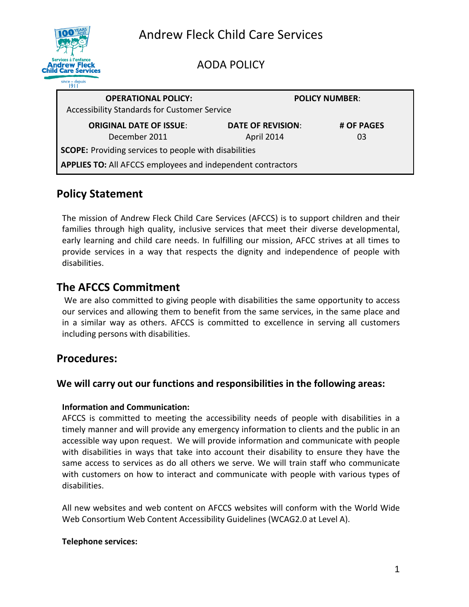|                                                                                             | <b>Andrew Fleck Child Care Services</b> |                          |            |
|---------------------------------------------------------------------------------------------|-----------------------------------------|--------------------------|------------|
| Services à l'enfance<br><b>Andrew Fleck</b><br><b>Child Care Services</b><br>since - depuis |                                         | <b>AODA POLICY</b>       |            |
| <b>OPERATIONAL POLICY:</b><br><b>Accessibility Standards for Customer Service</b>           |                                         | <b>POLICY NUMBER:</b>    |            |
|                                                                                             | <b>ORIGINAL DATE OF ISSUE:</b>          | <b>DATE OF REVISION:</b> | # OF PAGES |

April 2014

03

**SCOPE:** Providing services to people with disabilities **APPLIES TO:** All AFCCS employees and independent contractors

December 2011

# **Policy Statement**

The mission of Andrew Fleck Child Care Services (AFCCS) is to support children and their families through high quality, inclusive services that meet their diverse developmental, early learning and child care needs. In fulfilling our mission, AFCC strives at all times to provide services in a way that respects the dignity and independence of people with disabilities.

# **The AFCCS Commitment**

We are also committed to giving people with disabilities the same opportunity to access our services and allowing them to benefit from the same services, in the same place and in a similar way as others. AFCCS is committed to excellence in serving all customers including persons with disabilities.

# **Procedures:**

## **We will carry out our functions and responsibilities in the following areas:**

## **Information and Communication:**

AFCCS is committed to meeting the accessibility needs of people with disabilities in a timely manner and will provide any emergency information to clients and the public in an accessible way upon request. We will provide information and communicate with people with disabilities in ways that take into account their disability to ensure they have the same access to services as do all others we serve. We will train staff who communicate with customers on how to interact and communicate with people with various types of disabilities.

All new websites and web content on AFCCS websites will conform with the World Wide Web Consortium Web Content Accessibility Guidelines (WCAG2.0 at Level A).

## **Telephone services:**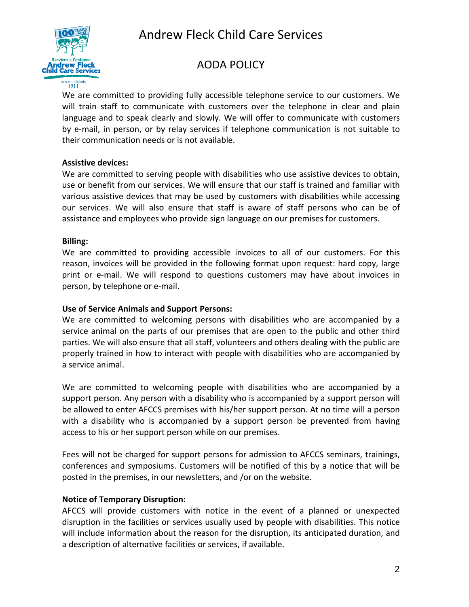

# Andrew Fleck Child Care Services

# AODA POLICY

#### since — depuis<br>1911

We are committed to providing fully accessible telephone service to our customers. We will train staff to communicate with customers over the telephone in clear and plain language and to speak clearly and slowly. We will offer to communicate with customers by e-mail, in person, or by relay services if telephone communication is not suitable to their communication needs or is not available.

#### **Assistive devices:**

We are committed to serving people with disabilities who use assistive devices to obtain, use or benefit from our services. We will ensure that our staff is trained and familiar with various assistive devices that may be used by customers with disabilities while accessing our services. We will also ensure that staff is aware of staff persons who can be of assistance and employees who provide sign language on our premises for customers.

#### **Billing:**

We are committed to providing accessible invoices to all of our customers. For this reason, invoices will be provided in the following format upon request: hard copy, large print or e-mail. We will respond to questions customers may have about invoices in person, by telephone or e-mail.

#### **Use of Service Animals and Support Persons:**

We are committed to welcoming persons with disabilities who are accompanied by a service animal on the parts of our premises that are open to the public and other third parties. We will also ensure that all staff, volunteers and others dealing with the public are properly trained in how to interact with people with disabilities who are accompanied by a service animal.

We are committed to welcoming people with disabilities who are accompanied by a support person. Any person with a disability who is accompanied by a support person will be allowed to enter AFCCS premises with his/her support person. At no time will a person with a disability who is accompanied by a support person be prevented from having access to his or her support person while on our premises.

Fees will not be charged for support persons for admission to AFCCS seminars, trainings, conferences and symposiums. Customers will be notified of this by a notice that will be posted in the premises, in our newsletters, and /or on the website.

#### **Notice of Temporary Disruption:**

AFCCS will provide customers with notice in the event of a planned or unexpected disruption in the facilities or services usually used by people with disabilities. This notice will include information about the reason for the disruption, its anticipated duration, and a description of alternative facilities or services, if available.